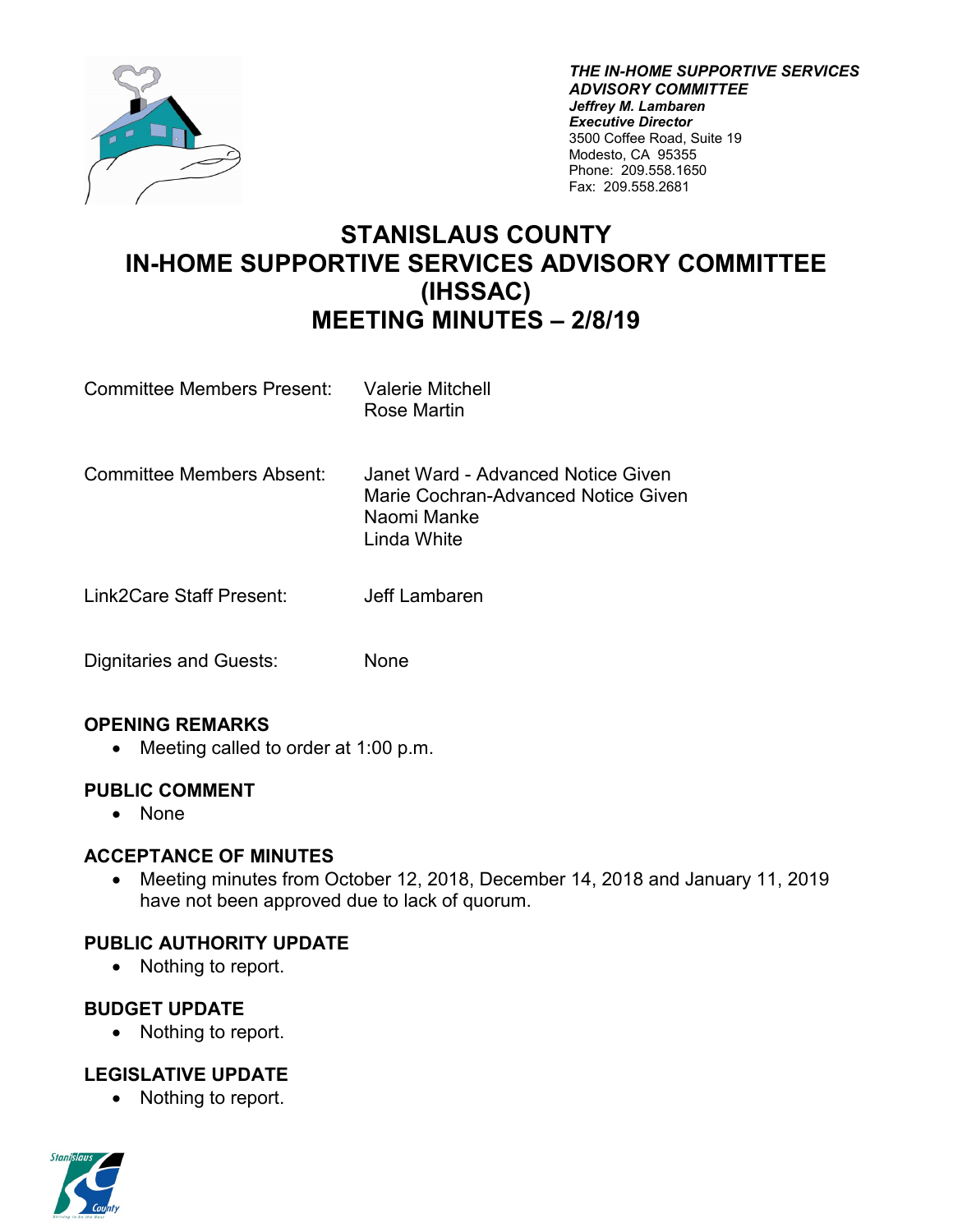

*THE IN-HOME SUPPORTIVE SERVICES ADVISORY COMMITTEE Jeffrey M. Lambaren Executive Director* 3500 Coffee Road, Suite 19 Modesto, CA 95355 Phone: 209.558.1650 Fax: 209.558.2681

# **STANISLAUS COUNTY IN-HOME SUPPORTIVE SERVICES ADVISORY COMMITTEE (IHSSAC) MEETING MINUTES – 2/8/19**

- Committee Members Present: Valerie Mitchell Rose Martin
- Committee Members Absent: Janet Ward Advanced Notice Given Marie Cochran-Advanced Notice Given Naomi Manke Linda White
- Link2Care Staff Present: Jeff Lambaren
- Dignitaries and Guests: None

## **OPENING REMARKS**

• Meeting called to order at 1:00 p.m.

#### **PUBLIC COMMENT**

• None

#### **ACCEPTANCE OF MINUTES**

• Meeting minutes from October 12, 2018, December 14, 2018 and January 11, 2019 have not been approved due to lack of quorum.

## **PUBLIC AUTHORITY UPDATE**

• Nothing to report.

#### **BUDGET UPDATE**

• Nothing to report.

## **LEGISLATIVE UPDATE**

• Nothing to report.